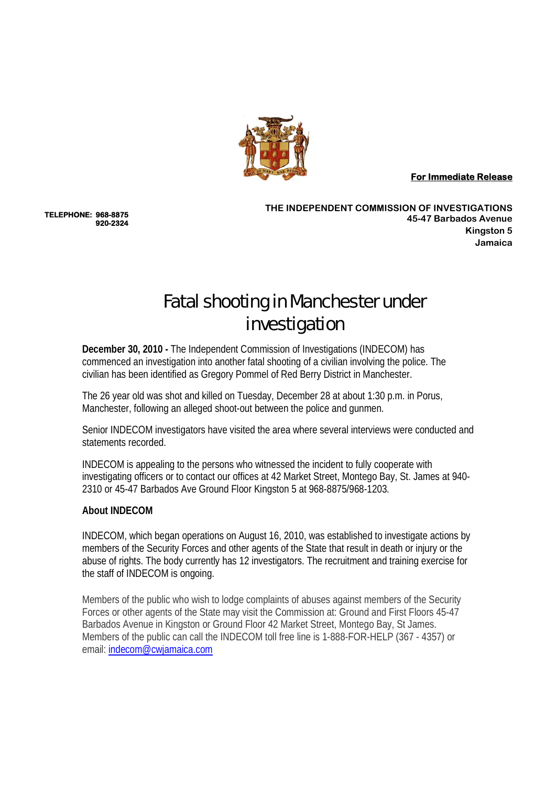

**For Immediate Release** 

**TELEPHONE: 968-8875 920-2324** 

**THE INDEPENDENT COMMISSION OF INVESTIGATIONS 45-47 Barbados Avenue Kingston 5 Jamaica**

## Fatal shooting in Manchester under investigation

**December 30, 2010 -** The Independent Commission of Investigations (INDECOM) has commenced an investigation into another fatal shooting of a civilian involving the police. The civilian has been identified as Gregory Pommel of Red Berry District in Manchester.

The 26 year old was shot and killed on Tuesday, December 28 at about 1:30 p.m. in Porus, Manchester, following an alleged shoot-out between the police and gunmen.

Senior INDECOM investigators have visited the area where several interviews were conducted and statements recorded.

INDECOM is appealing to the persons who witnessed the incident to fully cooperate with investigating officers or to contact our offices at 42 Market Street, Montego Bay, St. James at 940- 2310 or 45-47 Barbados Ave Ground Floor Kingston 5 at 968-8875/968-1203.

## **About INDECOM**

INDECOM, which began operations on August 16, 2010, was established to investigate actions by members of the Security Forces and other agents of the State that result in death or injury or the abuse of rights. The body currently has 12 investigators. The recruitment and training exercise for the staff of INDECOM is ongoing.

Members of the public who wish to lodge complaints of abuses against members of the Security Forces or other agents of the State may visit the Commission at: Ground and First Floors 45-47 Barbados Avenue in Kingston or Ground Floor 42 Market Street, Montego Bay, St James. Members of the public can call the INDECOM toll free line is 1-888-FOR-HELP (367 - 4357) or email: indecom@cwjamaica.com